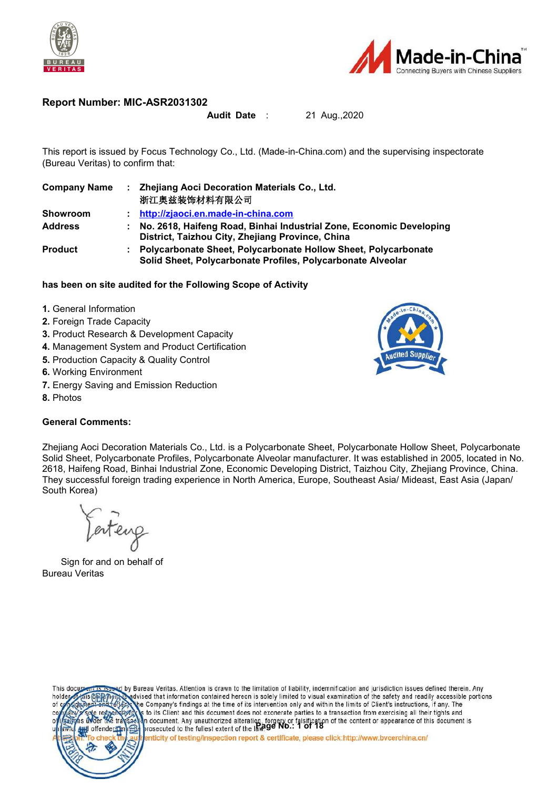



#### **Report Number: MIC-ASR2031302**

#### **Audit Date** : 21 Aug.,2020

This report is issued by Focus Technology Co., Ltd. (Made-in-China.com) and the supervising inspectorate (Bureau Veritas) to confirm that:

| <b>Company Name</b> | Zhejiang Aoci Decoration Materials Co., Ltd.<br>浙江奥兹装饰材料有限公司                                                                    |
|---------------------|---------------------------------------------------------------------------------------------------------------------------------|
| <b>Showroom</b>     | http://zjaoci.en.made-in-china.com                                                                                              |
| <b>Address</b>      | No. 2618, Haifeng Road, Binhai Industrial Zone, Economic Developing<br>District, Taizhou City, Zhejiang Province, China         |
| <b>Product</b>      | : Polycarbonate Sheet, Polycarbonate Hollow Sheet, Polycarbonate<br>Solid Sheet, Polycarbonate Profiles, Polycarbonate Alveolar |

#### **has been on site audited for the Following Scope of Activity**

- **1.** General Information
- **2.** Foreign Trade Capacity
- **3.** Product Research & Development Capacity
- **4.** Management System and Product Certification
- **5.** Production Capacity & Quality Control
- **6.** Working Environment
- **7.** Energy Saving and Emission Reduction
- **8.** Photos

#### **General Comments:**

Zhejiang Aoci Decoration Materials Co., Ltd. is a Polycarbonate Sheet, Polycarbonate Hollow Sheet, Polycarbonate Solid Sheet, Polycarbonate Profiles, Polycarbonate Alveolar manufacturer. It was established in 2005, located in No. 2618, Haifeng Road, Binhai Industrial Zone, Economic Developing District, Taizhou City, Zhejiang Province, China. They successful foreign trading experience in North America, Europe, Southeast Asia/ Mideast, East Asia (Japan/ South Korea)

Farteng

Sign for and on behalf of Bureau Veritas



by Bureau Veritas. Attention is drawn to the limitation of liability, indemnification and jurisdiction issues defined therein. Any dvised that information contained hereon is solely limited to visual examination of the safety and readily accessible portions ie Company's findings at the time of its intervention only and within the limits of Client's instructions, if any. The to its Client and this document does not exonerate parties to a transaction from exercising all their tights and **n** document. Any unauthorized alteration, forgery or falsification of the content or appearance of this document is prosecuted to the fullest extent of the IRCO **NO.:** 1 of 18

enticity of testing/inspection report & certificate, please click:http://www.bvcerchina.cn/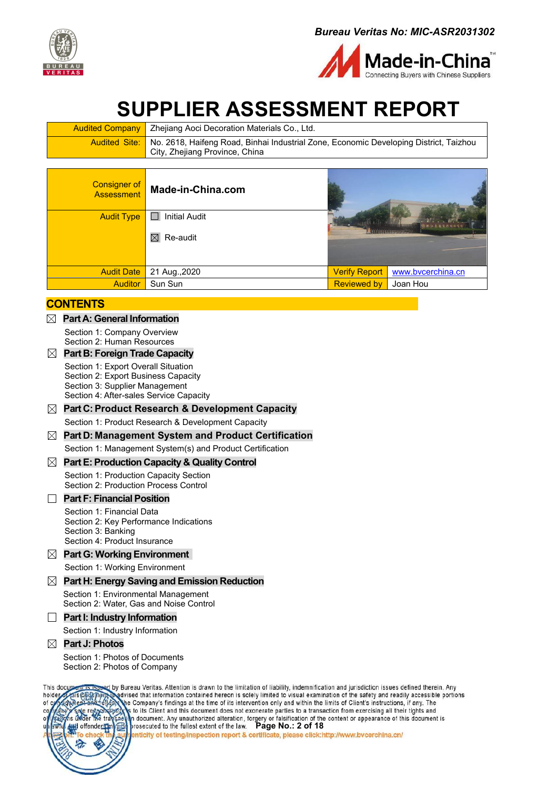



# **SUPPLIER ASSESSMENT REPORT**

| <b>Audited Company</b>   Zhejiang Aoci Decoration Materials Co., Ltd.                                      |
|------------------------------------------------------------------------------------------------------------|
| <b>Audited Site:</b> No. 2618, Haifeng Road, Binhai Industrial Zone, Economic Developing District, Taizhou |
| City, Zhejiang Province, China                                                                             |

| <b>Consigner of</b><br><b>Assessment</b> | Made-in-China.com    |                      |                   |  |
|------------------------------------------|----------------------|----------------------|-------------------|--|
| <b>Audit Type</b>                        | <b>Initial Audit</b> |                      | 1111111111        |  |
|                                          | $\boxtimes$ Re-audit |                      |                   |  |
|                                          |                      |                      |                   |  |
| <b>Audit Date</b>                        | 21 Aug., 2020        | <b>Verify Report</b> | www.bvcerchina.cn |  |
| <b>Auditor</b>                           | Sun Sun              | <b>Reviewed by</b>   | Joan Hou          |  |

#### **CONTENTS**

- **Part A: General [Information](#page-2-0)**
	- Section 1: [Company](#page-2-1) Overview
	- Section 2: Human [Resources](#page-3-0)

#### **Part B: Foreign Trade [Capacity](#page-4-0)**

- Section 1: Export Overall [Situation](#page-4-1)
- Section 2: Export [Business](#page-4-2) Capacity
- Section 3: Supplier [Management](#page-6-0)
- Section 4: [After-sales](#page-6-1) Service Capacity

#### **Part C:Product Research & [Development](#page-7-0) Capacity**

Section 1: Product Research & [Development](#page-7-0) Capacity

#### **Part D: [Management](#page-8-0) System and Product Certification**

Section 1: [Management](#page-8-0) System(s) and Product Certification

#### **PartE: [Production](#page-9-0) Capacity & Quality Control**

Section 1: [Production](#page-9-1) Capacity Section Section 2: [Production](#page-10-0) Process Control

#### **Part F: Financial Position**

- Section 1: Financial Data
- Section 2: Key Performance Indications
- Section 3: Banking
- Section 4: Product Insurance
- **Part G: Working [Environment](#page-11-0)**

Section 1: Working [Environment](#page-11-1)

#### **Part H: Energy Saving and Emission [Reduction](#page-13-0)** Section 1: [Environmental](#page-13-1) Management

[Section](#page-13-2) 2: Water, Gas and Noise Control

#### **Part I: Industry Information**

Section 1: Industry Information

#### **Part J: [Photos](#page-14-0)**

Section 1: Photos of [Documents](#page-14-1) Section 2: Photos of [Company](#page-15-0)

by Bureau Veritas. Attention is drawn to the limitation of liability, indemnification and jurisdiction issues defined therein. Any This doc dvised that information contained hereon is solely limited to visual examination of the safety and readily accessible portions holder he Company's findings at the time of its intervention only and within the limits of Client's instructions, if any. The of c to its Client and this document does not exonerate parties to a transaction from exercising all their tights and n document. Any unauthorized alteration, forgery or falsification of the content or appearance of this document is prosecuted to the fullest extent of the law. Page No.: 2 of 18<br>enticity of testing/inspection report & certificate, please click:http://www.bvcerchina.cn/ offenders E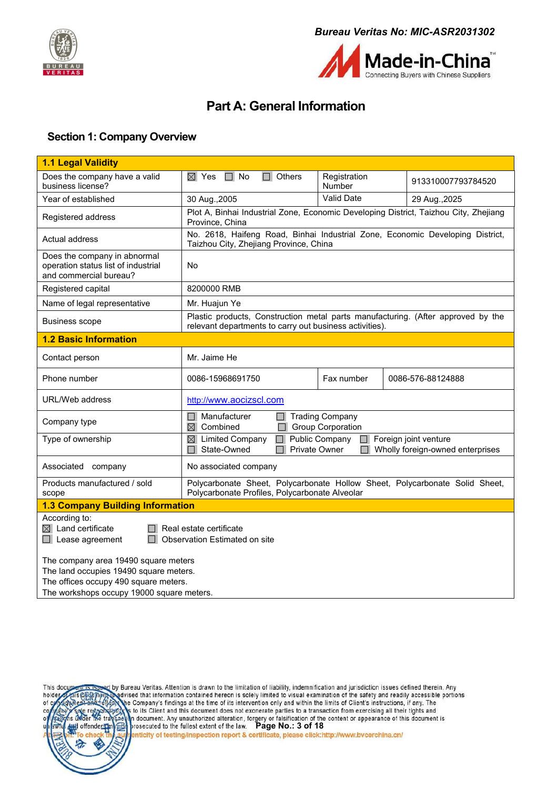



## <span id="page-2-0"></span>**Part A: General Information**

#### <span id="page-2-1"></span>**Section 1: Company Overview**

| 1.1 Legal Validity                                                                                                                                                                                 |                                                                                                                                                          |                        |                    |  |
|----------------------------------------------------------------------------------------------------------------------------------------------------------------------------------------------------|----------------------------------------------------------------------------------------------------------------------------------------------------------|------------------------|--------------------|--|
| Does the company have a valid<br>business license?                                                                                                                                                 | $\boxtimes$ Yes $\Box$ No<br>$\Box$ Others                                                                                                               | Registration<br>Number | 913310007793784520 |  |
| Year of established                                                                                                                                                                                | 30 Aug., 2005                                                                                                                                            | Valid Date             | 29 Aug., 2025      |  |
| Registered address                                                                                                                                                                                 | Plot A, Binhai Industrial Zone, Economic Developing District, Taizhou City, Zhejiang<br>Province, China                                                  |                        |                    |  |
| Actual address                                                                                                                                                                                     | No. 2618, Haifeng Road, Binhai Industrial Zone, Economic Developing District,<br>Taizhou City, Zhejiang Province, China                                  |                        |                    |  |
| Does the company in abnormal<br>operation status list of industrial<br>and commercial bureau?                                                                                                      | No                                                                                                                                                       |                        |                    |  |
| Registered capital                                                                                                                                                                                 | 8200000 RMB                                                                                                                                              |                        |                    |  |
| Name of legal representative                                                                                                                                                                       | Mr. Huajun Ye                                                                                                                                            |                        |                    |  |
| <b>Business scope</b>                                                                                                                                                                              | Plastic products, Construction metal parts manufacturing. (After approved by the<br>relevant departments to carry out business activities).              |                        |                    |  |
| <b>1.2 Basic Information</b>                                                                                                                                                                       |                                                                                                                                                          |                        |                    |  |
| Contact person                                                                                                                                                                                     | Mr. Jaime He                                                                                                                                             |                        |                    |  |
| Phone number                                                                                                                                                                                       | 0086-15968691750                                                                                                                                         | Fax number             | 0086-576-88124888  |  |
| URL/Web address                                                                                                                                                                                    | http://www.aocizscl.com                                                                                                                                  |                        |                    |  |
| Company type                                                                                                                                                                                       | Manufacturer<br>$\Box$ Trading Company<br>$\boxtimes$ Combined<br><b>Group Corporation</b>                                                               |                        |                    |  |
| Type of ownership                                                                                                                                                                                  | $\Box$ Public Company<br>$\boxtimes$ Limited Company<br>$\Box$ Foreign joint venture<br>State-Owned<br>Private Owner<br>Wholly foreign-owned enterprises |                        |                    |  |
| Associated company                                                                                                                                                                                 | No associated company                                                                                                                                    |                        |                    |  |
| Products manufactured / sold<br>scope                                                                                                                                                              | Polycarbonate Sheet, Polycarbonate Hollow Sheet, Polycarbonate Solid Sheet,<br>Polycarbonate Profiles, Polycarbonate Alveolar                            |                        |                    |  |
| <b>1.3 Company Building Information</b>                                                                                                                                                            |                                                                                                                                                          |                        |                    |  |
| According to:<br>$\boxtimes$ Land certificate<br>$\Box$ Lease agreement<br>The company area 19490 square meters<br>The land occupies 19490 square meters.<br>The offices occupy 490 square meters. | Real estate certificate<br>Observation Estimated on site                                                                                                 |                        |                    |  |
| The workshops occupy 19000 square meters.                                                                                                                                                          |                                                                                                                                                          |                        |                    |  |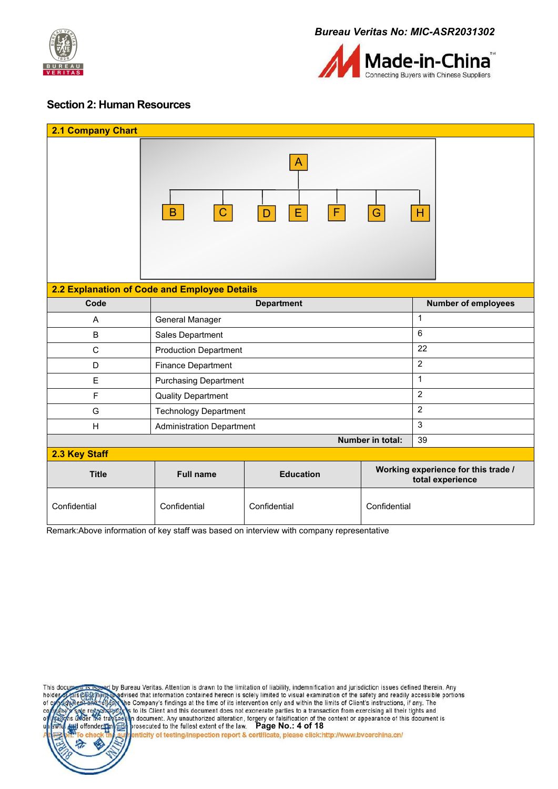



#### <span id="page-3-0"></span>**Section 2: Human Resources**

| 2.1 Company Chart                            |                                                  |                            |                  |                                                         |
|----------------------------------------------|--------------------------------------------------|----------------------------|------------------|---------------------------------------------------------|
|                                              | $\mathbf C$<br>$\, {\bf B}$                      | A<br>$\mathsf F$<br>E<br>D | G                | H                                                       |
| 2.2 Explanation of Code and Employee Details |                                                  |                            |                  |                                                         |
| Code                                         |                                                  | <b>Department</b>          |                  | <b>Number of employees</b>                              |
| $\overline{A}$                               | General Manager                                  |                            |                  | $\mathbf{1}$                                            |
| B                                            | Sales Department                                 |                            |                  | $6\phantom{1}$                                          |
| C                                            | <b>Production Department</b>                     |                            |                  | 22                                                      |
| D                                            | Finance Department                               |                            |                  | $\overline{2}$                                          |
| E                                            | <b>Purchasing Department</b>                     |                            |                  | $\mathbf{1}$                                            |
| F                                            | <b>Quality Department</b>                        |                            |                  | $\overline{2}$                                          |
| G                                            | <b>Technology Department</b>                     |                            |                  | $\overline{2}$                                          |
| H                                            | $\mathbf{3}$<br><b>Administration Department</b> |                            |                  |                                                         |
|                                              |                                                  |                            | Number in total: | 39                                                      |
| 2.3 Key Staff                                |                                                  |                            |                  |                                                         |
| <b>Title</b>                                 | <b>Full name</b>                                 | <b>Education</b>           |                  | Working experience for this trade /<br>total experience |
| Confidential                                 | Confidential                                     | Confidential               | Confidential     |                                                         |

Remark:Above information of key staff was based on interview with company representative



by Bureau Veritas. Attention is drawn to the limitation of liability, indemnification and jurisdiction issues defined therein. Any<br>Nadvised that information contained hereon is solely limited to visual examination of the s he Company's findings at the time of its intervention only and within the limits of Client's instructions, if any. The s to its Client and this document does not exonerate parties to a transaction from exercising all their tights and From Substitution and the second of the content of appearance of this document is<br>
prosecuted to the fullest extent of the law. Page No.: 4 of 18<br> **Page No.: 4 of 18**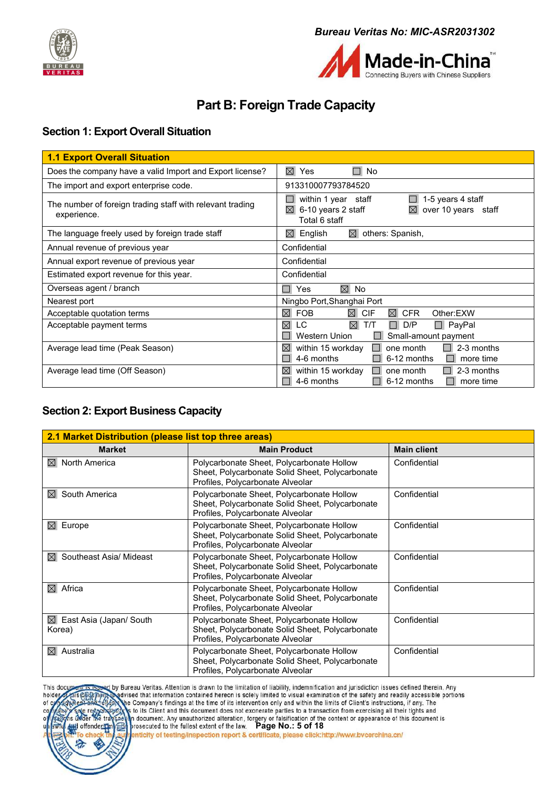



# <span id="page-4-0"></span>**Part B: Foreign Trade Capacity**

### <span id="page-4-1"></span>**Section 1: Export Overall Situation**

| $\boxtimes$<br>П<br>Does the company have a valid Import and Export license?<br>No<br>Yes                                                                                                                        |
|------------------------------------------------------------------------------------------------------------------------------------------------------------------------------------------------------------------|
|                                                                                                                                                                                                                  |
| The import and export enterprise code.<br>913310007793784520                                                                                                                                                     |
| within 1 year staff<br>1-5 years 4 staff<br>The number of foreign trading staff with relevant trading<br>6-10 years 2 staff<br>over 10 years staff<br>$\boxtimes$<br>$\boxtimes$<br>experience.<br>Total 6 staff |
| The language freely used by foreign trade staff<br>others: Spanish,<br>English<br>$\boxtimes$<br>$\boxtimes$                                                                                                     |
| Confidential<br>Annual revenue of previous year                                                                                                                                                                  |
| Annual export revenue of previous year<br>Confidential                                                                                                                                                           |
| Estimated export revenue for this year.<br>Confidential                                                                                                                                                          |
| Overseas agent / branch<br>$\boxtimes$ No<br>Yes                                                                                                                                                                 |
| Ningbo Port, Shanghai Port<br>Nearest port                                                                                                                                                                       |
| $\boxtimes$<br><b>FOB</b><br>$\boxtimes$ CIF<br>$\boxtimes$<br><b>CFR</b><br>Other:EXW<br>Acceptable quotation terms                                                                                             |
| $\boxtimes$<br>LC.<br>$\boxtimes$<br>T/T<br>D/P<br>$\Box$ PayPal<br>Acceptable payment terms<br>Western Union<br>Small-amount payment                                                                            |
| Average lead time (Peak Season)<br>2-3 months<br>$\boxtimes$<br>within 15 workday<br>one month<br>4-6 months<br>6-12 months<br>more time                                                                         |
| within 15 workday<br>2-3 months<br>Average lead time (Off Season)<br>$\boxtimes$<br>one month<br>4-6 months<br>6-12 months<br>more time                                                                          |

#### <span id="page-4-2"></span>**Section 2: Export Business Capacity**

| 2.1 Market Distribution (please list top three areas) |                                                                                                                                  |                    |  |
|-------------------------------------------------------|----------------------------------------------------------------------------------------------------------------------------------|--------------------|--|
| <b>Market</b>                                         | <b>Main Product</b>                                                                                                              | <b>Main client</b> |  |
| North America<br>⊠                                    | Polycarbonate Sheet, Polycarbonate Hollow<br>Sheet, Polycarbonate Solid Sheet, Polycarbonate<br>Profiles, Polycarbonate Alveolar | Confidential       |  |
| South America<br>$\boxtimes$                          | Polycarbonate Sheet, Polycarbonate Hollow<br>Sheet, Polycarbonate Solid Sheet, Polycarbonate<br>Profiles, Polycarbonate Alveolar | Confidential       |  |
| Europe<br>$\boxtimes$                                 | Polycarbonate Sheet, Polycarbonate Hollow<br>Sheet, Polycarbonate Solid Sheet, Polycarbonate<br>Profiles, Polycarbonate Alveolar | Confidential       |  |
| Southeast Asia/ Mideast<br>$\boxtimes$                | Polycarbonate Sheet, Polycarbonate Hollow<br>Sheet, Polycarbonate Solid Sheet, Polycarbonate<br>Profiles, Polycarbonate Alveolar | Confidential       |  |
| Africa<br>$\boxtimes$                                 | Polycarbonate Sheet, Polycarbonate Hollow<br>Sheet, Polycarbonate Solid Sheet, Polycarbonate<br>Profiles, Polycarbonate Alveolar | Confidential       |  |
| East Asia (Japan/ South<br>$\boxtimes$<br>Korea)      | Polycarbonate Sheet, Polycarbonate Hollow<br>Sheet, Polycarbonate Solid Sheet, Polycarbonate<br>Profiles, Polycarbonate Alveolar | Confidential       |  |
| Australia<br>$\boxtimes$                              | Polycarbonate Sheet, Polycarbonate Hollow<br>Sheet, Polycarbonate Solid Sheet, Polycarbonate<br>Profiles, Polycarbonate Alveolar | Confidential       |  |

by Bureau Veritas. Attention is drawn to the limitation of liability, indemnification and jurisdiction issues defined therein. Any<br>Nadvised that information contained hereon is solely limited to visual examination of the s This do holder of

he Company's findings at the time of its intervention only and within the limits of Client's instructions, if any. The

to its Client and this document does not exonerate parties to a transaction from exercising all their tights and



From Substitution of the content of appearance of this document is<br>and document. Any unauthorized alteration, forgery or falsification of the content or appearance of this document is<br>prosecuted to the fullest extent of th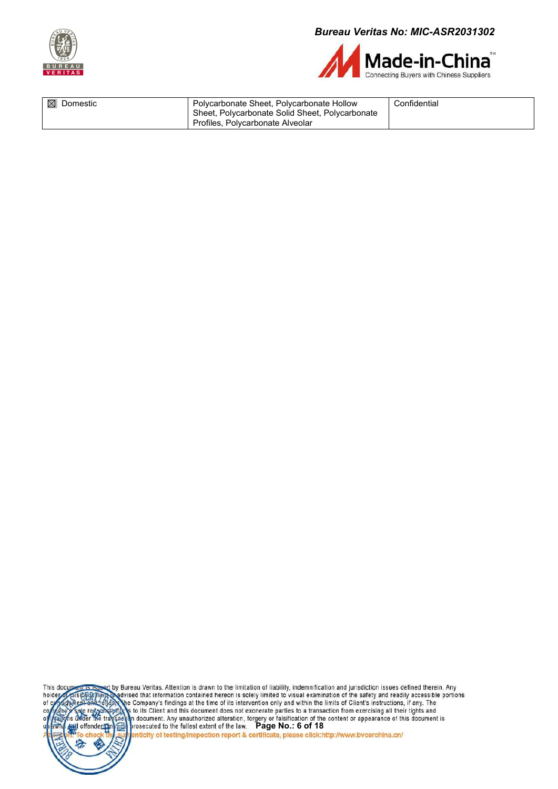



| $\boxtimes$ Domestic | Polycarbonate Sheet, Polycarbonate Hollow       | Confidential |
|----------------------|-------------------------------------------------|--------------|
|                      | Sheet, Polycarbonate Solid Sheet, Polycarbonate |              |
|                      | Profiles, Polycarbonate Alveolar                |              |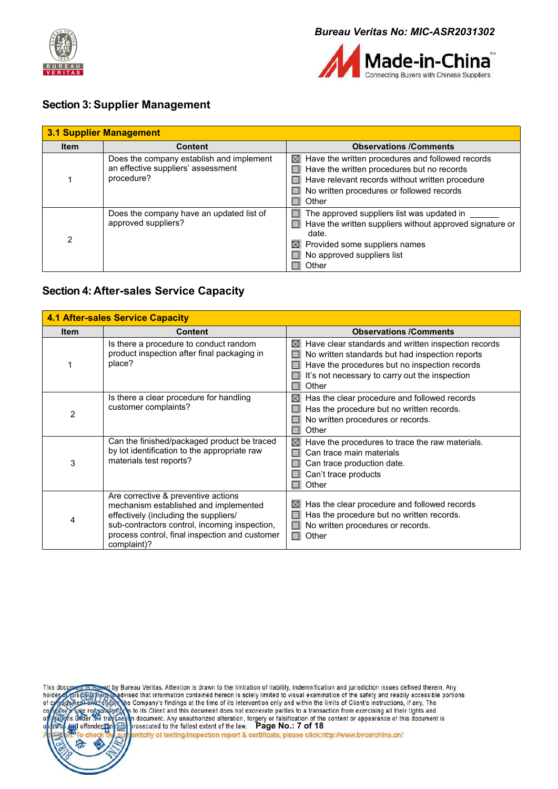



#### <span id="page-6-0"></span>**Section 3:Supplier Management**

| 3.1 Supplier Management |                                                                                              |                                                                                                                                                                                                                        |  |  |  |
|-------------------------|----------------------------------------------------------------------------------------------|------------------------------------------------------------------------------------------------------------------------------------------------------------------------------------------------------------------------|--|--|--|
| <b>Item</b>             | <b>Content</b>                                                                               | <b>Observations /Comments</b>                                                                                                                                                                                          |  |  |  |
|                         | Does the company establish and implement<br>an effective suppliers' assessment<br>procedure? | Have the written procedures and followed records<br>$\boxtimes$<br>Have the written procedures but no records<br>Have relevant records without written procedure<br>No written procedures or followed records<br>Other |  |  |  |
|                         | Does the company have an updated list of<br>approved suppliers?                              | The approved suppliers list was updated in<br>Have the written suppliers without approved signature or<br>date.<br>$\boxtimes$<br>Provided some suppliers names<br>No approved suppliers list<br>Other                 |  |  |  |

#### <span id="page-6-1"></span>**Section 4: After-sales Service Capacity**

|             | <b>4.1 After-sales Service Capacity</b>                                                                                                                                                                                                 |                                                                                                                                                                                                                                   |
|-------------|-----------------------------------------------------------------------------------------------------------------------------------------------------------------------------------------------------------------------------------------|-----------------------------------------------------------------------------------------------------------------------------------------------------------------------------------------------------------------------------------|
| <b>Item</b> | <b>Content</b>                                                                                                                                                                                                                          | <b>Observations /Comments</b>                                                                                                                                                                                                     |
|             | Is there a procedure to conduct random<br>product inspection after final packaging in<br>place?                                                                                                                                         | Have clear standards and written inspection records<br>$\boxtimes$<br>No written standards but had inspection reports<br>Have the procedures but no inspection records<br>It's not necessary to carry out the inspection<br>Other |
| 2           | Is there a clear procedure for handling<br>customer complaints?                                                                                                                                                                         | Has the clear procedure and followed records<br>⊠<br>Has the procedure but no written records.<br>No written procedures or records.<br>Other                                                                                      |
| 3           | Can the finished/packaged product be traced<br>by lot identification to the appropriate raw<br>materials test reports?                                                                                                                  | ⊠<br>Have the procedures to trace the raw materials.<br>Can trace main materials<br>Can trace production date.<br>Can't trace products<br>Other                                                                                   |
| 4           | Are corrective & preventive actions<br>mechanism established and implemented<br>effectively (including the suppliers/<br>sub-contractors control, incoming inspection,<br>process control, final inspection and customer<br>complaint)? | Has the clear procedure and followed records<br>$\boxtimes$<br>Has the procedure but no written records.<br>No written procedures or records.<br>Other<br>$\Box$                                                                  |



by Bureau Veritas. Attention is drawn to the limitation of liability, indemnification and jurisdiction issues defined therein. Any<br>Redvised that information contained hereon is solely limited to visual examination of the s the Company's findings at the time of its intervention only and within the limits of Client's instructions, if any. The s to its Client and this document does not exonerate parties to a transaction from exercising all their tights and For distribution of the content of appearance of this document is<br>prosecuted to the fullest extent of the law. Page No.: 7 of 18<br>**Particity of testing/inspection report & certificate, please click:http://www.bvcerchina.cn/**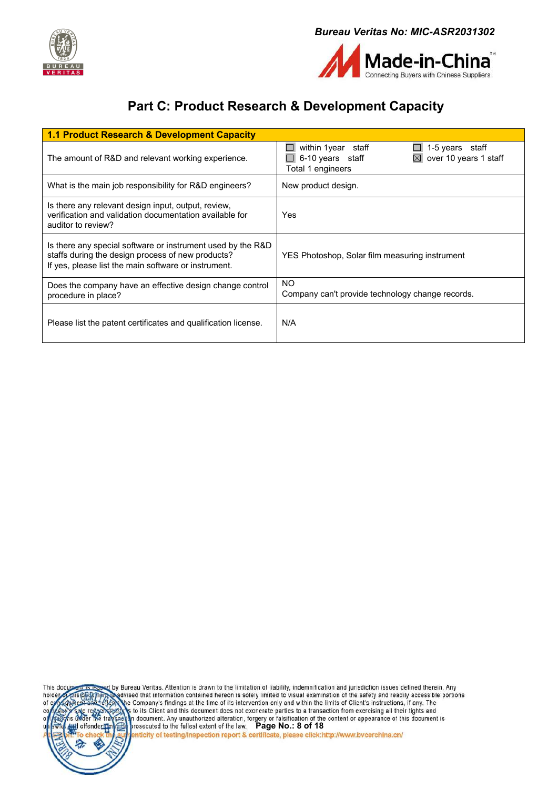



# <span id="page-7-0"></span>**Part C: Product Research & Development Capacity**

| 1.1 Product Research & Development Capacity                                                                                                                              |                                                                                                          |
|--------------------------------------------------------------------------------------------------------------------------------------------------------------------------|----------------------------------------------------------------------------------------------------------|
| The amount of R&D and relevant working experience.                                                                                                                       | within 1 year staff<br>1-5 years staff<br>over 10 years 1 staff<br>6-10 years staff<br>Total 1 engineers |
| What is the main job responsibility for R&D engineers?                                                                                                                   | New product design.                                                                                      |
| Is there any relevant design input, output, review,<br>verification and validation documentation available for<br>auditor to review?                                     | Yes                                                                                                      |
| Is there any special software or instrument used by the R&D<br>staffs during the design process of new products?<br>If yes, please list the main software or instrument. | YES Photoshop, Solar film measuring instrument                                                           |
| Does the company have an effective design change control<br>procedure in place?                                                                                          | <b>NO</b><br>Company can't provide technology change records.                                            |
| Please list the patent certificates and qualification license.                                                                                                           | N/A                                                                                                      |

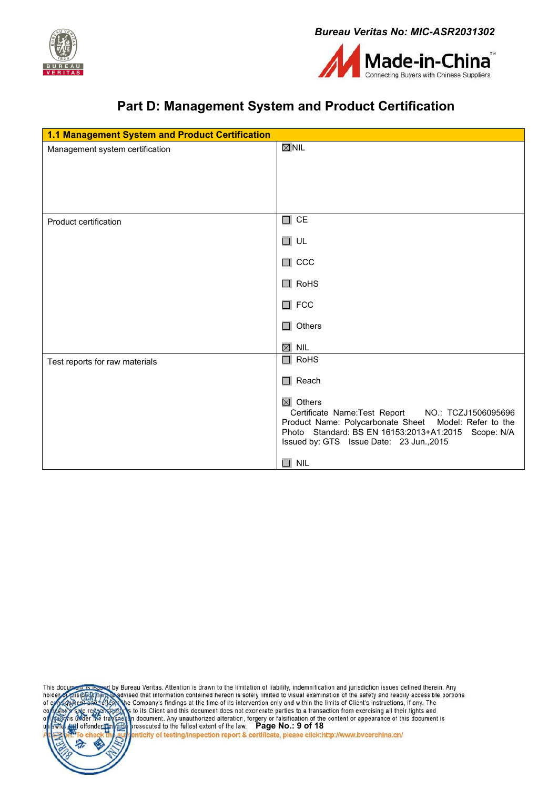



# <span id="page-8-0"></span>**Part D: Management System and Product Certification**

| 1.1 Management System and Product Certification |                                                                                                                                                                                                                                                                                 |  |
|-------------------------------------------------|---------------------------------------------------------------------------------------------------------------------------------------------------------------------------------------------------------------------------------------------------------------------------------|--|
| Management system certification                 | $\boxtimes$ NIL                                                                                                                                                                                                                                                                 |  |
| Product certification                           | $\Box$ CE<br>$\Box$ UL<br>$\Box$ CCC<br>$\Box$ RoHS<br>$\Box$ FCC<br>$\Box$ Others<br>$\boxtimes$ Nil                                                                                                                                                                           |  |
| Test reports for raw materials                  | $\Box$ RoHS<br>$\Box$ Reach<br>$\boxtimes$ Others<br>Certificate Name:Test Report NO.: TCZJ1506095696<br>Product Name: Polycarbonate Sheet Model: Refer to the<br>Photo Standard: BS EN 16153:2013+A1:2015 Scope: N/A<br>Issued by: GTS Issue Date: 23 Jun., 2015<br>$\Box$ NIL |  |

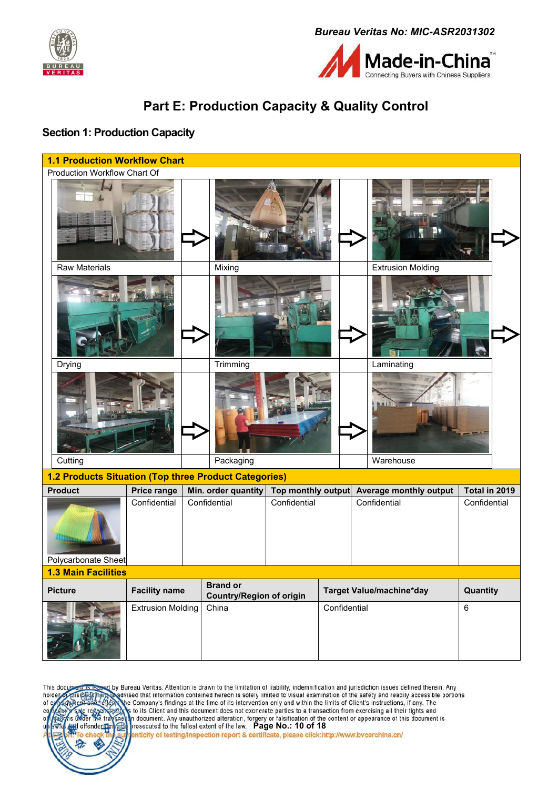



# <span id="page-9-0"></span>**Part E: Production Capacity & Quality Control**

#### <span id="page-9-1"></span>**Section 1: Production Capacity**



by Bureau Veritas. Attention is drawn to the limitation of liability, indemnification and jurisdiction issues defined therein. Any This do .<br>Ivised that information contained hereon is solely limited to visual examination of the safety and readily accessible portions holde the Company's findings at the time of its intervention only and within the limits of Client's instructions, if any. The of to its Client and this document does not exonerate parties to a transaction from exercising all their tights and **Payment.** Any unauthorized alteration, forgery or falsification of the content or appearance of this document is<br>prosecuted to the fullest extent of the law. Page No.: 10 of 18<br>penticity of testing/inspection report & cer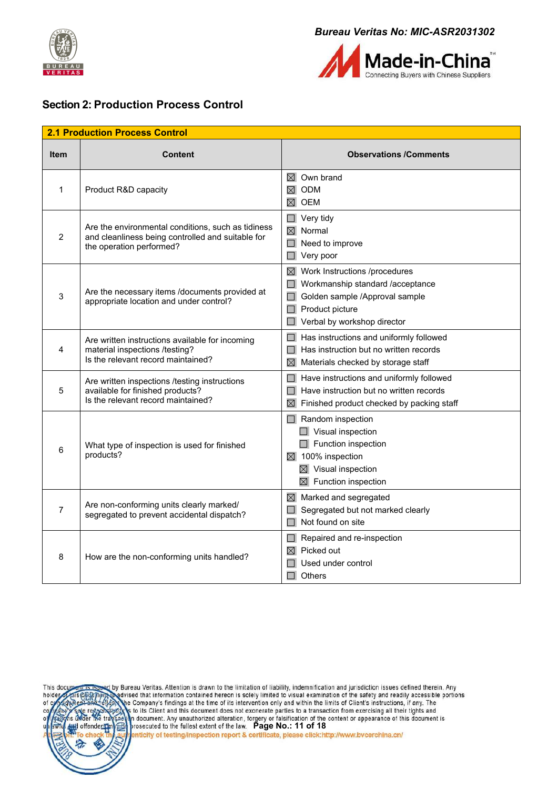



#### <span id="page-10-0"></span>**Section 2: Production Process Control**

|                | <b>2.1 Production Process Control</b>                                                                                               |                                                                                                                                                                                       |
|----------------|-------------------------------------------------------------------------------------------------------------------------------------|---------------------------------------------------------------------------------------------------------------------------------------------------------------------------------------|
| <b>Item</b>    | <b>Content</b>                                                                                                                      | <b>Observations /Comments</b>                                                                                                                                                         |
| 1              | Product R&D capacity                                                                                                                | $\boxtimes$ Own brand<br>ODM<br>$\boxtimes$<br>$\boxtimes$ OEM                                                                                                                        |
| $\overline{2}$ | Are the environmental conditions, such as tidiness<br>and cleanliness being controlled and suitable for<br>the operation performed? | Very tidy<br>$\Box$<br>$\overline{\boxtimes}$ Normal<br>Need to improve<br>Very poor                                                                                                  |
| 3              | Are the necessary items /documents provided at<br>appropriate location and under control?                                           | $\boxtimes$ Work Instructions /procedures<br>Workmanship standard /acceptance<br>Golden sample /Approval sample<br>Product picture<br>Verbal by workshop director                     |
| 4              | Are written instructions available for incoming<br>material inspections /testing?<br>Is the relevant record maintained?             | Has instructions and uniformly followed<br>Has instruction but no written records<br>Materials checked by storage staff<br>$\boxtimes$                                                |
| 5              | Are written inspections /testing instructions<br>available for finished products?<br>Is the relevant record maintained?             | Have instructions and uniformly followed<br>Have instruction but no written records<br>Finished product checked by packing staff<br>⊠                                                 |
| 6              | What type of inspection is used for finished<br>products?                                                                           | $\Box$ Random inspection<br>$\Box$ Visual inspection<br>$\Box$ Function inspection<br>$\boxtimes$ 100% inspection<br>$\boxtimes$ Visual inspection<br>$\boxtimes$ Function inspection |
| 7              | Are non-conforming units clearly marked/<br>segregated to prevent accidental dispatch?                                              | $\boxtimes$ Marked and segregated<br>Segregated but not marked clearly<br>Not found on site                                                                                           |
| 8              | How are the non-conforming units handled?                                                                                           | Repaired and re-inspection<br>Picked out<br>⊠<br>Used under control<br>Others                                                                                                         |



by Bureau Veritas. Attention is drawn to the limitation of liability, indemnification and jurisdiction issues defined therein. Any<br>Redvised that information contained hereon is solely limited to visual examination of the s he Company's findings at the time of its intervention only and within the limits of Client's instructions, if any. The s to its Client and this document does not exonerate parties to a transaction from exercising all their tights and **Page No.: 11 of 18**<br>**Page No.: 11 of 18**<br>**Page No.: 11 of 18**<br>**Particity of testing/inspection report & certificate, please click:http://www.bvcerchina.cn/<br>
<b>Particity of testing/inspection report & certificate, please cl**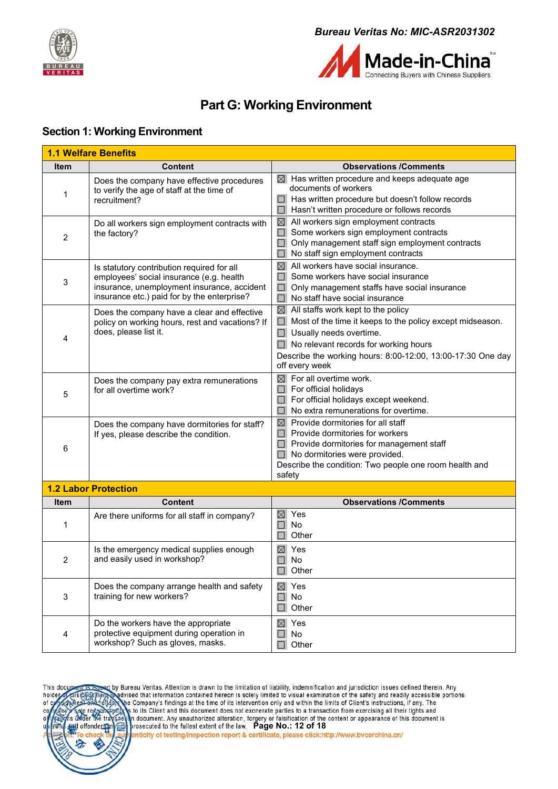



# <span id="page-11-0"></span>**Part G: Working Environment**

#### <span id="page-11-1"></span>**Section 1: Working Environment**

| <u>1.1 Welfare Benefits</u> |                                                                                                                                                                                      |                                                                                                                                                                                                                                                                                          |  |  |
|-----------------------------|--------------------------------------------------------------------------------------------------------------------------------------------------------------------------------------|------------------------------------------------------------------------------------------------------------------------------------------------------------------------------------------------------------------------------------------------------------------------------------------|--|--|
| <b>Item</b>                 | <b>Content</b>                                                                                                                                                                       | <b>Observations /Comments</b>                                                                                                                                                                                                                                                            |  |  |
| 1                           | Does the company have effective procedures<br>to verify the age of staff at the time of<br>recruitment?                                                                              | $\boxtimes$ Has written procedure and keeps adequate age<br>documents of workers<br>$\Box$ Has written procedure but doesn't follow records<br>Hasn't written procedure or follows records                                                                                               |  |  |
| $\overline{c}$              | Do all workers sign employment contracts with<br>the factory?                                                                                                                        | $\boxtimes$ All workers sign employment contracts<br>Some workers sign employment contracts<br>$\Box$<br>$\Box$<br>Only management staff sign employment contracts<br>No staff sign employment contracts                                                                                 |  |  |
| 3                           | Is statutory contribution required for all<br>employees' social insurance (e.g. health<br>insurance, unemployment insurance, accident<br>insurance etc.) paid for by the enterprise? | $\boxtimes$ All workers have social insurance.<br>Some workers have social insurance<br>$\Box$<br>Only management staffs have social insurance<br>$\Box$<br>No staff have social insurance                                                                                               |  |  |
| 4                           | Does the company have a clear and effective<br>policy on working hours, rest and vacations? If<br>does, please list it.                                                              | $\boxtimes$ All staffs work kept to the policy<br>$\Box$<br>Most of the time it keeps to the policy except midseason.<br>$\Box$ Usually needs overtime.<br>$\Box$ No relevant records for working hours<br>Describe the working hours: 8:00-12:00, 13:00-17:30 One day<br>off every week |  |  |
| 5                           | Does the company pay extra remunerations<br>for all overtime work?                                                                                                                   | For all overtime work.<br>$\boxtimes$<br>For official holidays<br>$\Box$<br>For official holidays except weekend.<br>No extra remunerations for overtime.                                                                                                                                |  |  |
| 6                           | Does the company have dormitories for staff?<br>If yes, please describe the condition.                                                                                               | $\boxtimes$ Provide dormitories for all staff<br>$\Box$<br>Provide dormitories for workers<br>Provide dormitories for management staff<br>No dormitories were provided.<br>Describe the condition: Two people one room health and<br>safety                                              |  |  |
|                             | <b>1.2 Labor Protection</b>                                                                                                                                                          |                                                                                                                                                                                                                                                                                          |  |  |
| <b>Item</b>                 | <b>Content</b>                                                                                                                                                                       | <b>Observations /Comments</b>                                                                                                                                                                                                                                                            |  |  |
| 1                           | Are there uniforms for all staff in company?                                                                                                                                         | Yes<br>$\boxtimes$<br>No<br>$\Box$<br>Other                                                                                                                                                                                                                                              |  |  |
| $\overline{c}$              | Is the emergency medical supplies enough<br>and easily used in workshop?                                                                                                             | $\boxtimes$ Yes<br>П<br>No<br>$\Box$ Other                                                                                                                                                                                                                                               |  |  |
| 3                           | Does the company arrange health and safety<br>training for new workers?                                                                                                              | $\boxtimes$ Yes<br>$\Box$<br>No<br>Other                                                                                                                                                                                                                                                 |  |  |
| 4                           | Do the workers have the appropriate<br>protective equipment during operation in<br>workshop? Such as gloves, masks.                                                                  | $\boxtimes$ Yes<br>No<br>Other                                                                                                                                                                                                                                                           |  |  |

by Bureau Veritas. Attention is drawn to the limitation of liability, indemnification and jurisdiction issues defined therein. Any<br>Wedvised that information contained hereon is solely limited to visual examination of the s This doc holder he Company's findings at the time of its intervention only and within the limits of Client's instructions, if any. The  $of<sub>0</sub>$ s to its Client and this document does not exonerate parties to a transaction from exercising all their tights and **Pay and the second in the second in the second in the second in the second in the second in the second in the second in the second in the second in the second in the second in the second in the second in the second in the**  $\epsilon$ <sub>tr</sub> offender  $\Theta$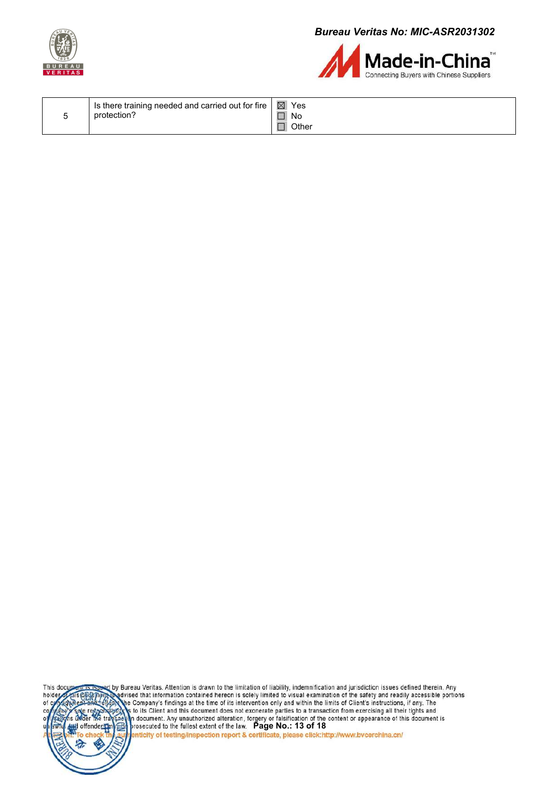



|  | I is there training needed and carried out for fire $\vert \boxtimes \vert$ Yes<br>protection? | No<br>Other |
|--|------------------------------------------------------------------------------------------------|-------------|
|--|------------------------------------------------------------------------------------------------|-------------|

by Bureau Veritas. Attention is drawn to the limitation of liability, indemnification and jurisdiction issues defined therein. Any<br>Redvised that information contained hereon is solely limited to visual examination of the s This doc holder he Company's findings at the time of its intervention only and within the limits of Client's instructions, if any. The  $of c$ s to its Client and this document does not exonerate parties to a transaction from exercising all their tights and **Pay and the second in the second in the second in the second in the second in the second in the second in the second in the second in the second in the second in the second in the second in the second in the second in the** the tra offender pr  $\Theta$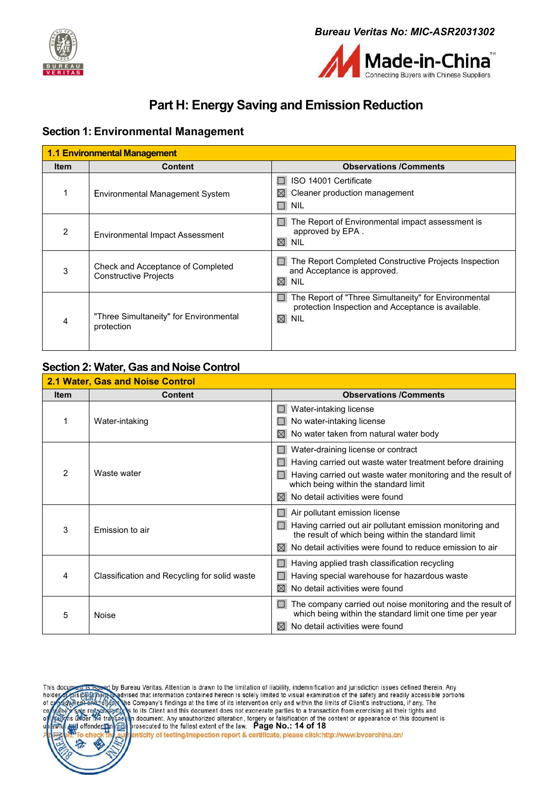



# <span id="page-13-0"></span>**Part H: Energy Saving and Emission Reduction**

#### <span id="page-13-1"></span>**Section 1: Environmental Management**

| <b>1.1 Environmental Management</b> |                                                                   |                                                                                                                                         |
|-------------------------------------|-------------------------------------------------------------------|-----------------------------------------------------------------------------------------------------------------------------------------|
| <b>Item</b>                         | <b>Content</b>                                                    | <b>Observations /Comments</b>                                                                                                           |
|                                     | <b>Environmental Management System</b>                            | ISO 14001 Certificate<br>Cleaner production management<br>$\boxtimes$<br>$\Box$<br><b>NIL</b>                                           |
| 2                                   | Environmental Impact Assessment                                   | The Report of Environmental impact assessment is<br>approved by EPA.<br>$\boxtimes$<br><b>NIL</b>                                       |
| 3                                   | Check and Acceptance of Completed<br><b>Constructive Projects</b> | The Report Completed Constructive Projects Inspection<br>and Acceptance is approved.<br>$\boxtimes$<br><b>NIL</b>                       |
| 4                                   | "Three Simultaneity" for Environmental<br>protection              | The Report of "Three Simultaneity" for Environmental<br>protection Inspection and Acceptance is available.<br>$\boxtimes$<br><b>NIL</b> |

#### <span id="page-13-2"></span>**Section 2: Water, Gas and Noise Control**

| 2.1 Water, Gas and Noise Control |                                              |                                                                                                                 |
|----------------------------------|----------------------------------------------|-----------------------------------------------------------------------------------------------------------------|
| <b>Item</b>                      | <b>Content</b>                               | <b>Observations /Comments</b>                                                                                   |
|                                  | Water-intaking                               | Water-intaking license                                                                                          |
|                                  |                                              | No water-intaking license                                                                                       |
|                                  |                                              | No water taken from natural water body<br>$\bowtie$                                                             |
| 2                                | Waste water                                  | Water-draining license or contract                                                                              |
|                                  |                                              | Having carried out waste water treatment before draining                                                        |
|                                  |                                              | Having carried out waste water monitoring and the result of<br>which being within the standard limit            |
|                                  |                                              | No detail activities were found<br>$\bowtie$                                                                    |
| 3                                | Emission to air                              | Air pollutant emission license                                                                                  |
|                                  |                                              | Having carried out air pollutant emission monitoring and<br>the result of which being within the standard limit |
|                                  |                                              | No detail activities were found to reduce emission to air<br>$\bowtie$                                          |
|                                  | Classification and Recycling for solid waste | Having applied trash classification recycling                                                                   |
| 4                                |                                              | Having special warehouse for hazardous waste                                                                    |
|                                  |                                              | No detail activities were found<br>⊠                                                                            |
| 5                                |                                              | The company carried out noise monitoring and the result of                                                      |
|                                  | <b>Noise</b>                                 | which being within the standard limit one time per year                                                         |
|                                  |                                              | No detail activities were found                                                                                 |

by Bureau Veritas. Attention is drawn to the limitation of liability, indemnification and jurisdiction issues defined therein. Any<br>Nadvised that information contained hereon is solely limited to visual examination of the s This doc holder he Company's findings at the time of its intervention only and within the limits of Client's instructions, if any. The of s to its Client and this document does not exonerate parties to a transaction from exercising all their tights and For order and the structure of the textent of the content of the content or appearance of this document is<br>prosecuted to the fullest extent of the law. Page No.: 14 of 18<br>perficity of testing/inspection report & certificat offender  $\Theta$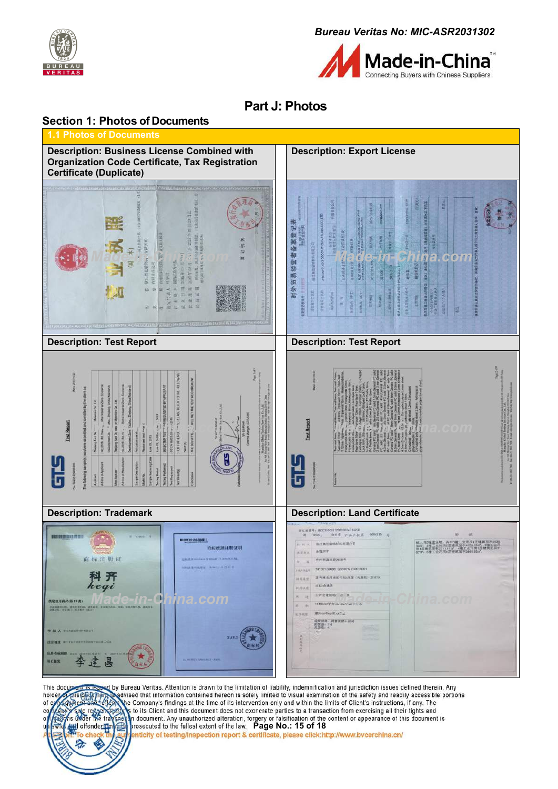



# <span id="page-14-0"></span>**Part J: Photos**

<span id="page-14-1"></span>



by Bureau Veritas. Attention is drawn to the limitation of liability, indemnification and jurisdiction issues defined therein. Any<br>Redvised that information contained hereon is solely limited to visual examination of the s This docu holder he Company's findings at the time of its intervention only and within the limits of Client's instructions, if any. The of c s to its Client and this document does not exonerate parties to a transaction from exercising all their tights and **Pay and Contract Contract Contract Contract Page No.: 15 of 18**<br> **Pay and Contract Contract Contract Contract Contract Contract Contract Contract Contract Contract Contract Contract Contract Contract Contract Contract Con** offender  $\boldsymbol{\beta}$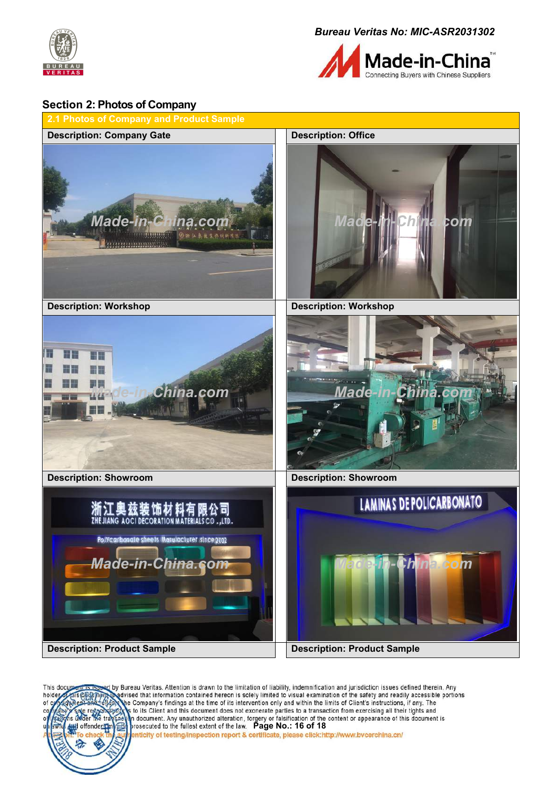



#### <span id="page-15-0"></span>**Section 2: Photos of Company**



by Bureau Veritas. Attention is drawn to the limitation of liability, indemnification and jurisdiction issues defined therein. Any<br>@advised that information contained hereon is solely limited to visual examination of the s This do holde he Company's findings at the time of its intervention only and within the limits of Client's instructions, if any. The of to its Client and this document does not exonerate parties to a transaction from exercising all their tights and **Payment.** Any unauthorized alteration, forgery or falsification of the content or appearance of this document is<br>prosecuted to the fullest extent of the law. Page No.: 16 of 18<br>penticity of testing/inspection report & cer offender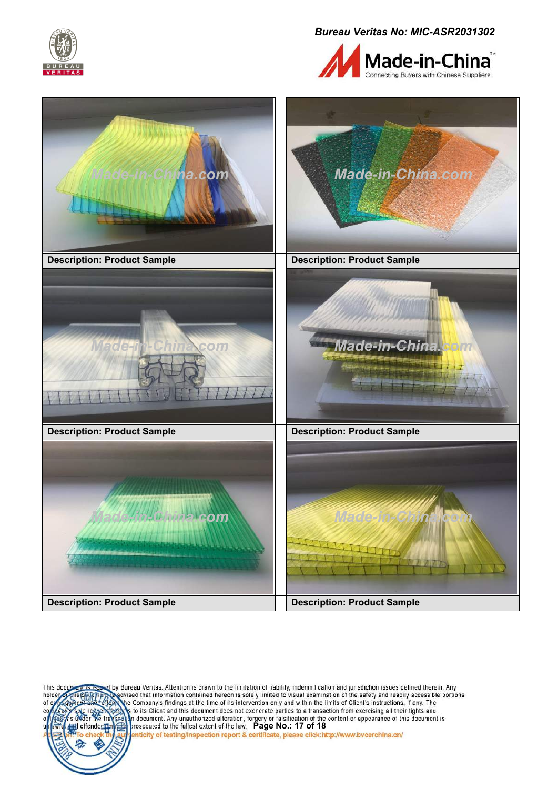





by Bureau Veritas. Attention is drawn to the limitation of liability, indemnification and jurisdiction issues defined therein. Any<br>Nadvised that information contained hereon is solely limited to visual examination of the s This doc holder he Company's findings at the time of its intervention only and within the limits of Client's instructions, if any. The of o to its Client and this document does not exonerate parties to a transaction from exercising all their tights and **Payment.** Any unauthorized alteration, forgery or falsification of the content or appearance of this document is<br>prosecuted to the fullest extent of the law. Page No.: 17 of 18<br>penticity of testing/inspection report & cer offenders €